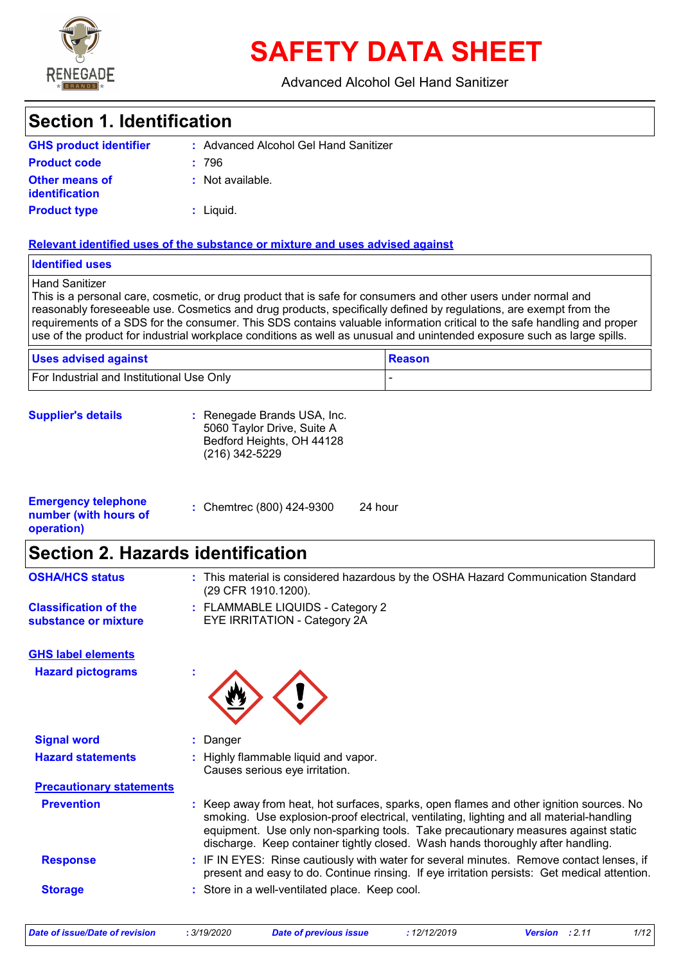

# **SAFETY DATA SHEET**

#### Advanced Alcohol Gel Hand Sanitizer

## **Section 1. Identification**

| <b>GHS product identifier</b>                  | : Advanced Alcohol Gel Hand Sanitizer |
|------------------------------------------------|---------------------------------------|
| <b>Product code</b>                            | : 796                                 |
| <b>Other means of</b><br><b>identification</b> | : Not available.                      |
| <b>Product type</b>                            | : Liquid.                             |

#### **Relevant identified uses of the substance or mixture and uses advised against**

#### **Identified uses**

Hand Sanitizer

This is a personal care, cosmetic, or drug product that is safe for consumers and other users under normal and reasonably foreseeable use. Cosmetics and drug products, specifically defined by regulations, are exempt from the requirements of a SDS for the consumer. This SDS contains valuable information critical to the safe handling and proper use of the product for industrial workplace conditions as well as unusual and unintended exposure such as large spills.

| <b>Uses advised against</b>               | ∣ Reason |
|-------------------------------------------|----------|
| For Industrial and Institutional Use Only |          |

**Supplier's details :** Renegade Brands USA, Inc. 5060 Taylor Drive, Suite A Bedford Heights, OH 44128 (216) 342-5229

| <b>Emergency telephone</b><br>number (with hours of | : Chemtrec (800) 424-9300 | 24 hour |  |
|-----------------------------------------------------|---------------------------|---------|--|
| operation)                                          |                           |         |  |

### **Section 2. Hazards identification**

| <b>OSHA/HCS status</b>                               | : This material is considered hazardous by the OSHA Hazard Communication Standard<br>(29 CFR 1910.1200).                                                                                                                                                                                                                                                     |
|------------------------------------------------------|--------------------------------------------------------------------------------------------------------------------------------------------------------------------------------------------------------------------------------------------------------------------------------------------------------------------------------------------------------------|
| <b>Classification of the</b><br>substance or mixture | : FLAMMABLE LIQUIDS - Category 2<br>EYE IRRITATION - Category 2A                                                                                                                                                                                                                                                                                             |
| <b>GHS label elements</b>                            |                                                                                                                                                                                                                                                                                                                                                              |
| <b>Hazard pictograms</b>                             |                                                                                                                                                                                                                                                                                                                                                              |
| <b>Signal word</b>                                   | : Danger                                                                                                                                                                                                                                                                                                                                                     |
| <b>Hazard statements</b>                             | : Highly flammable liquid and vapor.<br>Causes serious eye irritation.                                                                                                                                                                                                                                                                                       |
| <b>Precautionary statements</b>                      |                                                                                                                                                                                                                                                                                                                                                              |
| <b>Prevention</b>                                    | : Keep away from heat, hot surfaces, sparks, open flames and other ignition sources. No<br>smoking. Use explosion-proof electrical, ventilating, lighting and all material-handling<br>equipment. Use only non-sparking tools. Take precautionary measures against static<br>discharge. Keep container tightly closed. Wash hands thoroughly after handling. |
| <b>Response</b>                                      | : IF IN EYES: Rinse cautiously with water for several minutes. Remove contact lenses, if<br>present and easy to do. Continue rinsing. If eye irritation persists: Get medical attention.                                                                                                                                                                     |
| <b>Storage</b>                                       | : Store in a well-ventilated place. Keep cool.                                                                                                                                                                                                                                                                                                               |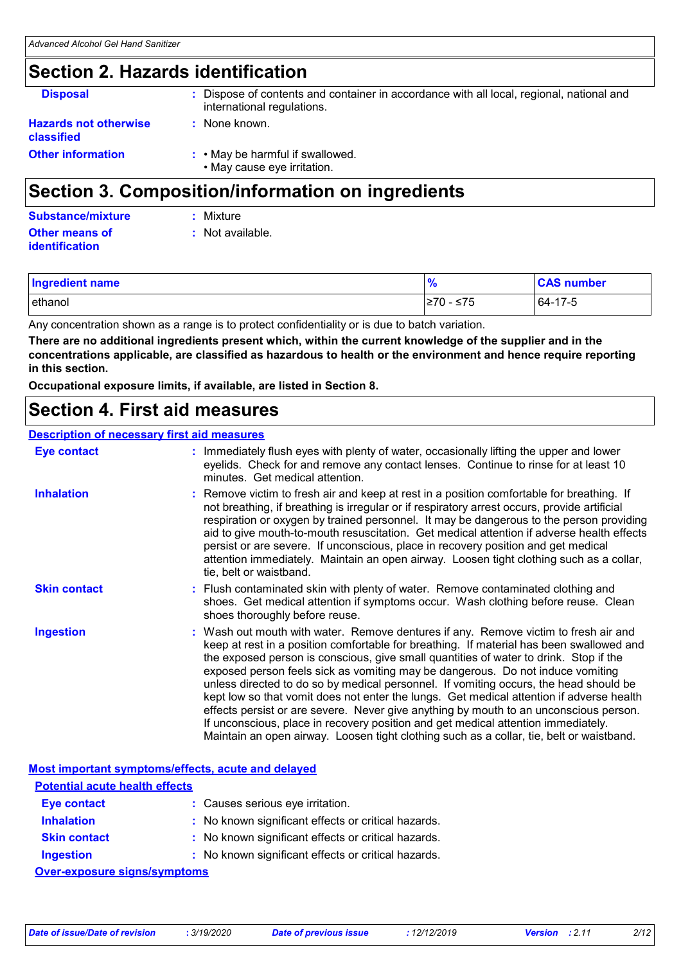### **Section 2. Hazards identification**

| <b>Other information</b>                          | : • May be harmful if swallowed.<br>• May cause eye irritation.<br>Ocation O. Ocusus of the ultrafe was attaining the suce distribute |
|---------------------------------------------------|---------------------------------------------------------------------------------------------------------------------------------------|
| <b>Hazards not otherwise</b><br><b>classified</b> | : None known.                                                                                                                         |
| <b>Disposal</b>                                   | : Dispose of contents and container in accordance with all local, regional, national and<br>international regulations.                |
|                                                   |                                                                                                                                       |

### **Section 3. Composition/information on ingredients**

| Substance/mixture     | : Mixture          |
|-----------------------|--------------------|
| <b>Other means of</b> | $:$ Not available. |
| <b>identification</b> |                    |

| <b>Ingredient name</b> | $\frac{0}{6}$ | <b>CAS number</b> |
|------------------------|---------------|-------------------|
| ethanol                | ≥70 - ≤75     | 64-17-5           |

Any concentration shown as a range is to protect confidentiality or is due to batch variation.

**There are no additional ingredients present which, within the current knowledge of the supplier and in the concentrations applicable, are classified as hazardous to health or the environment and hence require reporting in this section.**

**Occupational exposure limits, if available, are listed in Section 8.**

### **Section 4. First aid measures**

#### **Description of necessary first aid measures**

| <b>Eye contact</b>  | : Immediately flush eyes with plenty of water, occasionally lifting the upper and lower<br>eyelids. Check for and remove any contact lenses. Continue to rinse for at least 10<br>minutes. Get medical attention.                                                                                                                                                                                                                                                                                                                                                                                                                                                                                                                                                                                                         |
|---------------------|---------------------------------------------------------------------------------------------------------------------------------------------------------------------------------------------------------------------------------------------------------------------------------------------------------------------------------------------------------------------------------------------------------------------------------------------------------------------------------------------------------------------------------------------------------------------------------------------------------------------------------------------------------------------------------------------------------------------------------------------------------------------------------------------------------------------------|
| <b>Inhalation</b>   | : Remove victim to fresh air and keep at rest in a position comfortable for breathing. If<br>not breathing, if breathing is irregular or if respiratory arrest occurs, provide artificial<br>respiration or oxygen by trained personnel. It may be dangerous to the person providing<br>aid to give mouth-to-mouth resuscitation. Get medical attention if adverse health effects<br>persist or are severe. If unconscious, place in recovery position and get medical<br>attention immediately. Maintain an open airway. Loosen tight clothing such as a collar,<br>tie, belt or waistband.                                                                                                                                                                                                                              |
| <b>Skin contact</b> | : Flush contaminated skin with plenty of water. Remove contaminated clothing and<br>shoes. Get medical attention if symptoms occur. Wash clothing before reuse. Clean<br>shoes thoroughly before reuse.                                                                                                                                                                                                                                                                                                                                                                                                                                                                                                                                                                                                                   |
| <b>Ingestion</b>    | : Wash out mouth with water. Remove dentures if any. Remove victim to fresh air and<br>keep at rest in a position comfortable for breathing. If material has been swallowed and<br>the exposed person is conscious, give small quantities of water to drink. Stop if the<br>exposed person feels sick as vomiting may be dangerous. Do not induce vomiting<br>unless directed to do so by medical personnel. If vomiting occurs, the head should be<br>kept low so that vomit does not enter the lungs. Get medical attention if adverse health<br>effects persist or are severe. Never give anything by mouth to an unconscious person.<br>If unconscious, place in recovery position and get medical attention immediately.<br>Maintain an open airway. Loosen tight clothing such as a collar, tie, belt or waistband. |

**Most important symptoms/effects, acute and delayed**

| <b>Potential acute health effects</b> |                                                     |  |
|---------------------------------------|-----------------------------------------------------|--|
| <b>Eye contact</b>                    | : Causes serious eye irritation.                    |  |
| <b>Inhalation</b>                     | : No known significant effects or critical hazards. |  |
| <b>Skin contact</b>                   | : No known significant effects or critical hazards. |  |
| <b>Ingestion</b>                      | : No known significant effects or critical hazards. |  |
| Over-exposure signs/symptoms          |                                                     |  |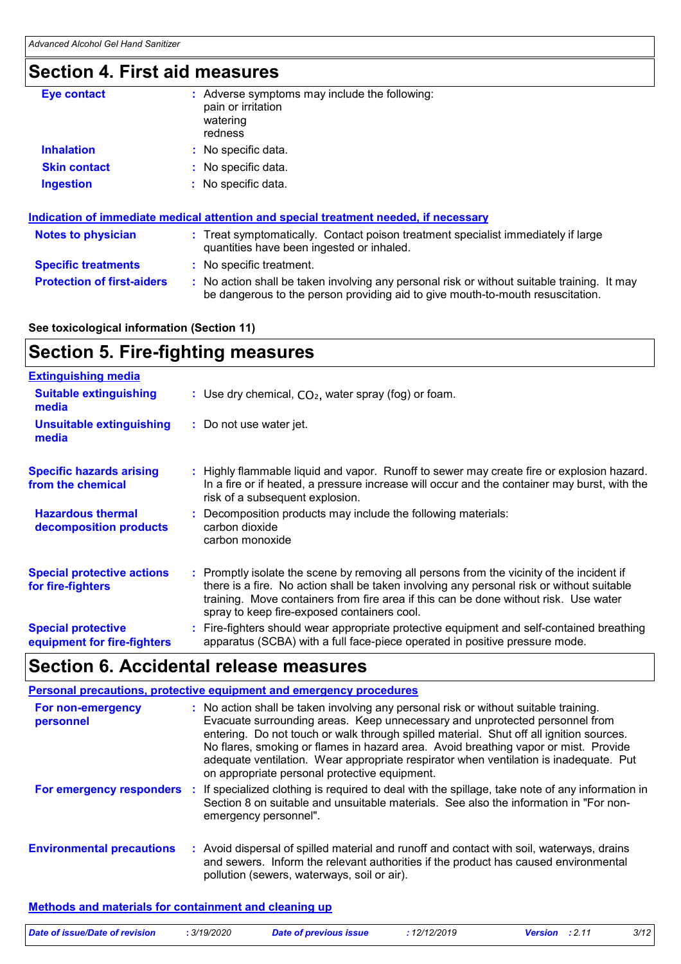### **Section 4. First aid measures**

| <b>Eye contact</b>                | : Adverse symptoms may include the following:<br>pain or irritation<br>watering<br>redness                                                                                    |
|-----------------------------------|-------------------------------------------------------------------------------------------------------------------------------------------------------------------------------|
| <b>Inhalation</b>                 | : No specific data.                                                                                                                                                           |
| <b>Skin contact</b>               | : No specific data.                                                                                                                                                           |
| <b>Ingestion</b>                  | : No specific data.                                                                                                                                                           |
|                                   | Indication of immediate medical attention and special treatment needed, if necessary                                                                                          |
| <b>Notes to physician</b>         | : Treat symptomatically. Contact poison treatment specialist immediately if large<br>quantities have been ingested or inhaled.                                                |
| <b>Specific treatments</b>        | : No specific treatment.                                                                                                                                                      |
| <b>Protection of first-aiders</b> | : No action shall be taken involving any personal risk or without suitable training. It may<br>be dangerous to the person providing aid to give mouth-to-mouth resuscitation. |

### **See toxicological information (Section 11)**

### **Section 5. Fire-fighting measures**

| <b>Extinguishing media</b>                               |                                                                                                                                                                                                                                                                                                                               |
|----------------------------------------------------------|-------------------------------------------------------------------------------------------------------------------------------------------------------------------------------------------------------------------------------------------------------------------------------------------------------------------------------|
| <b>Suitable extinguishing</b><br>media                   | : Use dry chemical, $CO2$ , water spray (fog) or foam.                                                                                                                                                                                                                                                                        |
| <b>Unsuitable extinguishing</b><br>media                 | : Do not use water jet.                                                                                                                                                                                                                                                                                                       |
| <b>Specific hazards arising</b><br>from the chemical     | : Highly flammable liquid and vapor. Runoff to sewer may create fire or explosion hazard.<br>In a fire or if heated, a pressure increase will occur and the container may burst, with the<br>risk of a subsequent explosion.                                                                                                  |
| <b>Hazardous thermal</b><br>decomposition products       | : Decomposition products may include the following materials:<br>carbon dioxide<br>carbon monoxide                                                                                                                                                                                                                            |
| <b>Special protective actions</b><br>for fire-fighters   | : Promptly isolate the scene by removing all persons from the vicinity of the incident if<br>there is a fire. No action shall be taken involving any personal risk or without suitable<br>training. Move containers from fire area if this can be done without risk. Use water<br>spray to keep fire-exposed containers cool. |
| <b>Special protective</b><br>equipment for fire-fighters | : Fire-fighters should wear appropriate protective equipment and self-contained breathing<br>apparatus (SCBA) with a full face-piece operated in positive pressure mode.                                                                                                                                                      |

### **Section 6. Accidental release measures**

#### **Personal precautions, protective equipment and emergency procedures**

| For non-emergency<br>personnel   |           | : No action shall be taken involving any personal risk or without suitable training.<br>Evacuate surrounding areas. Keep unnecessary and unprotected personnel from<br>entering. Do not touch or walk through spilled material. Shut off all ignition sources.<br>No flares, smoking or flames in hazard area. Avoid breathing vapor or mist. Provide<br>adequate ventilation. Wear appropriate respirator when ventilation is inadequate. Put<br>on appropriate personal protective equipment. |
|----------------------------------|-----------|-------------------------------------------------------------------------------------------------------------------------------------------------------------------------------------------------------------------------------------------------------------------------------------------------------------------------------------------------------------------------------------------------------------------------------------------------------------------------------------------------|
| For emergency responders         | <b>ST</b> | If specialized clothing is required to deal with the spillage, take note of any information in<br>Section 8 on suitable and unsuitable materials. See also the information in "For non-<br>emergency personnel".                                                                                                                                                                                                                                                                                |
| <b>Environmental precautions</b> |           | : Avoid dispersal of spilled material and runoff and contact with soil, waterways, drains<br>and sewers. Inform the relevant authorities if the product has caused environmental<br>pollution (sewers, waterways, soil or air).                                                                                                                                                                                                                                                                 |

#### **Methods and materials for containment and cleaning up**

| Date of issue/Date of revision | . 3/19/2020 | <b>Date of previous issue</b> | 12/12/2019 | <b>Version</b> : 2.11 | 3/12 |
|--------------------------------|-------------|-------------------------------|------------|-----------------------|------|
|                                |             |                               |            |                       |      |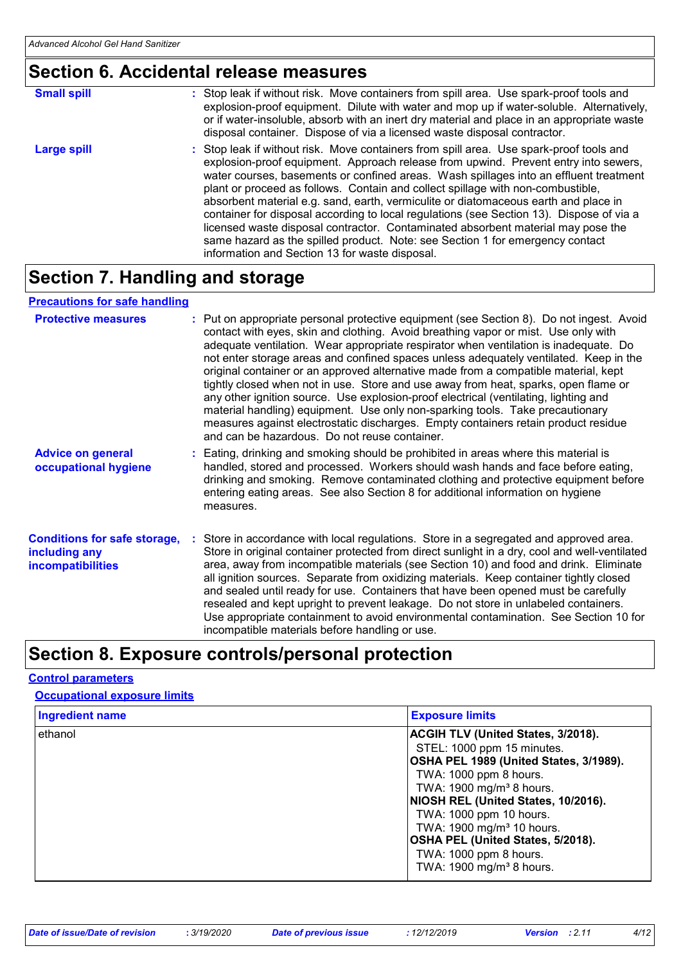### **Section 6. Accidental release measures**

| <b>Small spill</b> | : Stop leak if without risk. Move containers from spill area. Use spark-proof tools and<br>explosion-proof equipment. Dilute with water and mop up if water-soluble. Alternatively,<br>or if water-insoluble, absorb with an inert dry material and place in an appropriate waste<br>disposal container. Dispose of via a licensed waste disposal contractor.                                                                                                                                                                                                                                                                                                                                                                                                        |
|--------------------|----------------------------------------------------------------------------------------------------------------------------------------------------------------------------------------------------------------------------------------------------------------------------------------------------------------------------------------------------------------------------------------------------------------------------------------------------------------------------------------------------------------------------------------------------------------------------------------------------------------------------------------------------------------------------------------------------------------------------------------------------------------------|
| Large spill        | : Stop leak if without risk. Move containers from spill area. Use spark-proof tools and<br>explosion-proof equipment. Approach release from upwind. Prevent entry into sewers,<br>water courses, basements or confined areas. Wash spillages into an effluent treatment<br>plant or proceed as follows. Contain and collect spillage with non-combustible,<br>absorbent material e.g. sand, earth, vermiculite or diatomaceous earth and place in<br>container for disposal according to local regulations (see Section 13). Dispose of via a<br>licensed waste disposal contractor. Contaminated absorbent material may pose the<br>same hazard as the spilled product. Note: see Section 1 for emergency contact<br>information and Section 13 for waste disposal. |

### **Section 7. Handling and storage**

#### **Precautions for safe handling**

| <b>Protective measures</b>                                                       | : Put on appropriate personal protective equipment (see Section 8). Do not ingest. Avoid<br>contact with eyes, skin and clothing. Avoid breathing vapor or mist. Use only with<br>adequate ventilation. Wear appropriate respirator when ventilation is inadequate. Do<br>not enter storage areas and confined spaces unless adequately ventilated. Keep in the<br>original container or an approved alternative made from a compatible material, kept<br>tightly closed when not in use. Store and use away from heat, sparks, open flame or<br>any other ignition source. Use explosion-proof electrical (ventilating, lighting and<br>material handling) equipment. Use only non-sparking tools. Take precautionary<br>measures against electrostatic discharges. Empty containers retain product residue<br>and can be hazardous. Do not reuse container. |
|----------------------------------------------------------------------------------|---------------------------------------------------------------------------------------------------------------------------------------------------------------------------------------------------------------------------------------------------------------------------------------------------------------------------------------------------------------------------------------------------------------------------------------------------------------------------------------------------------------------------------------------------------------------------------------------------------------------------------------------------------------------------------------------------------------------------------------------------------------------------------------------------------------------------------------------------------------|
| <b>Advice on general</b><br>occupational hygiene                                 | : Eating, drinking and smoking should be prohibited in areas where this material is<br>handled, stored and processed. Workers should wash hands and face before eating,<br>drinking and smoking. Remove contaminated clothing and protective equipment before<br>entering eating areas. See also Section 8 for additional information on hygiene<br>measures.                                                                                                                                                                                                                                                                                                                                                                                                                                                                                                 |
| <b>Conditions for safe storage,</b><br>including any<br><b>incompatibilities</b> | : Store in accordance with local regulations. Store in a segregated and approved area.<br>Store in original container protected from direct sunlight in a dry, cool and well-ventilated<br>area, away from incompatible materials (see Section 10) and food and drink. Eliminate<br>all ignition sources. Separate from oxidizing materials. Keep container tightly closed<br>and sealed until ready for use. Containers that have been opened must be carefully<br>resealed and kept upright to prevent leakage. Do not store in unlabeled containers.<br>Use appropriate containment to avoid environmental contamination. See Section 10 for<br>incompatible materials before handling or use.                                                                                                                                                             |

### **Section 8. Exposure controls/personal protection**

### **Control parameters**

#### **Occupational exposure limits**

| <b>Ingredient name</b> | <b>Exposure limits</b>                                                                                                                                                                                              |
|------------------------|---------------------------------------------------------------------------------------------------------------------------------------------------------------------------------------------------------------------|
| ethanol                | ACGIH TLV (United States, 3/2018).<br>STEL: 1000 ppm 15 minutes.<br>OSHA PEL 1989 (United States, 3/1989).<br>TWA: 1000 ppm 8 hours.<br>TWA: 1900 mg/m <sup>3</sup> 8 hours.<br>NIOSH REL (United States, 10/2016). |
|                        | TWA: 1000 ppm 10 hours.<br>TWA: 1900 mg/m <sup>3</sup> 10 hours.<br>OSHA PEL (United States, 5/2018).<br>TWA: 1000 ppm 8 hours.<br>TWA: 1900 mg/m <sup>3</sup> 8 hours.                                             |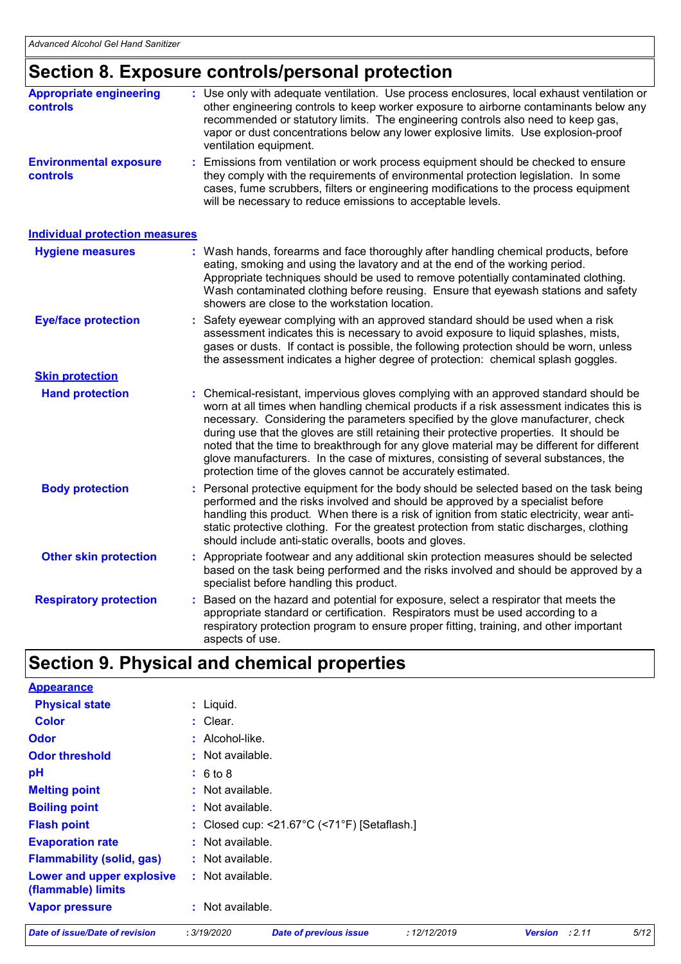### **Section 8. Exposure controls/personal protection**

| <b>Appropriate engineering</b><br><b>controls</b> | : Use only with adequate ventilation. Use process enclosures, local exhaust ventilation or<br>other engineering controls to keep worker exposure to airborne contaminants below any<br>recommended or statutory limits. The engineering controls also need to keep gas,<br>vapor or dust concentrations below any lower explosive limits. Use explosion-proof<br>ventilation equipment.                                                                                                                                                                                                                              |  |  |
|---------------------------------------------------|----------------------------------------------------------------------------------------------------------------------------------------------------------------------------------------------------------------------------------------------------------------------------------------------------------------------------------------------------------------------------------------------------------------------------------------------------------------------------------------------------------------------------------------------------------------------------------------------------------------------|--|--|
| <b>Environmental exposure</b><br><b>controls</b>  | Emissions from ventilation or work process equipment should be checked to ensure<br>they comply with the requirements of environmental protection legislation. In some<br>cases, fume scrubbers, filters or engineering modifications to the process equipment<br>will be necessary to reduce emissions to acceptable levels.                                                                                                                                                                                                                                                                                        |  |  |
| <b>Individual protection measures</b>             |                                                                                                                                                                                                                                                                                                                                                                                                                                                                                                                                                                                                                      |  |  |
| <b>Hygiene measures</b>                           | : Wash hands, forearms and face thoroughly after handling chemical products, before<br>eating, smoking and using the lavatory and at the end of the working period.<br>Appropriate techniques should be used to remove potentially contaminated clothing.<br>Wash contaminated clothing before reusing. Ensure that eyewash stations and safety<br>showers are close to the workstation location.                                                                                                                                                                                                                    |  |  |
| <b>Eye/face protection</b>                        | Safety eyewear complying with an approved standard should be used when a risk<br>assessment indicates this is necessary to avoid exposure to liquid splashes, mists,<br>gases or dusts. If contact is possible, the following protection should be worn, unless<br>the assessment indicates a higher degree of protection: chemical splash goggles.                                                                                                                                                                                                                                                                  |  |  |
| <b>Skin protection</b>                            |                                                                                                                                                                                                                                                                                                                                                                                                                                                                                                                                                                                                                      |  |  |
| <b>Hand protection</b>                            | Chemical-resistant, impervious gloves complying with an approved standard should be<br>worn at all times when handling chemical products if a risk assessment indicates this is<br>necessary. Considering the parameters specified by the glove manufacturer, check<br>during use that the gloves are still retaining their protective properties. It should be<br>noted that the time to breakthrough for any glove material may be different for different<br>glove manufacturers. In the case of mixtures, consisting of several substances, the<br>protection time of the gloves cannot be accurately estimated. |  |  |
| <b>Body protection</b>                            | Personal protective equipment for the body should be selected based on the task being<br>performed and the risks involved and should be approved by a specialist before<br>handling this product. When there is a risk of ignition from static electricity, wear anti-<br>static protective clothing. For the greatest protection from static discharges, clothing<br>should include anti-static overalls, boots and gloves.                                                                                                                                                                                         |  |  |
| <b>Other skin protection</b>                      | : Appropriate footwear and any additional skin protection measures should be selected<br>based on the task being performed and the risks involved and should be approved by a<br>specialist before handling this product.                                                                                                                                                                                                                                                                                                                                                                                            |  |  |
| <b>Respiratory protection</b>                     | Based on the hazard and potential for exposure, select a respirator that meets the<br>appropriate standard or certification. Respirators must be used according to a<br>respiratory protection program to ensure proper fitting, training, and other important<br>aspects of use.                                                                                                                                                                                                                                                                                                                                    |  |  |

### **Section 9. Physical and chemical properties**

| <b>Appearance</b>                               |                    |                                                                   |             |
|-------------------------------------------------|--------------------|-------------------------------------------------------------------|-------------|
| <b>Physical state</b>                           | $:$ Liquid.        |                                                                   |             |
| <b>Color</b>                                    | : Clear.           |                                                                   |             |
| <b>Odor</b>                                     | : Alcohol-like.    |                                                                   |             |
| <b>Odor threshold</b>                           | : Not available.   |                                                                   |             |
| рH                                              | : 6 to 8           |                                                                   |             |
| <b>Melting point</b>                            | : Not available.   |                                                                   |             |
| <b>Boiling point</b>                            | : Not available.   |                                                                   |             |
| <b>Flash point</b>                              |                    | : Closed cup: < $21.67^{\circ}$ C (< $71^{\circ}$ F) [Setaflash.] |             |
| <b>Evaporation rate</b>                         | $:$ Not available. |                                                                   |             |
| <b>Flammability (solid, gas)</b>                | $:$ Not available. |                                                                   |             |
| Lower and upper explosive<br>(flammable) limits | : Not available.   |                                                                   |             |
| <b>Vapor pressure</b>                           | $:$ Not available. |                                                                   |             |
| Date of issue/Date of revision                  | .3/19/2020         | Date of previous issue                                            | .12/12/2019 |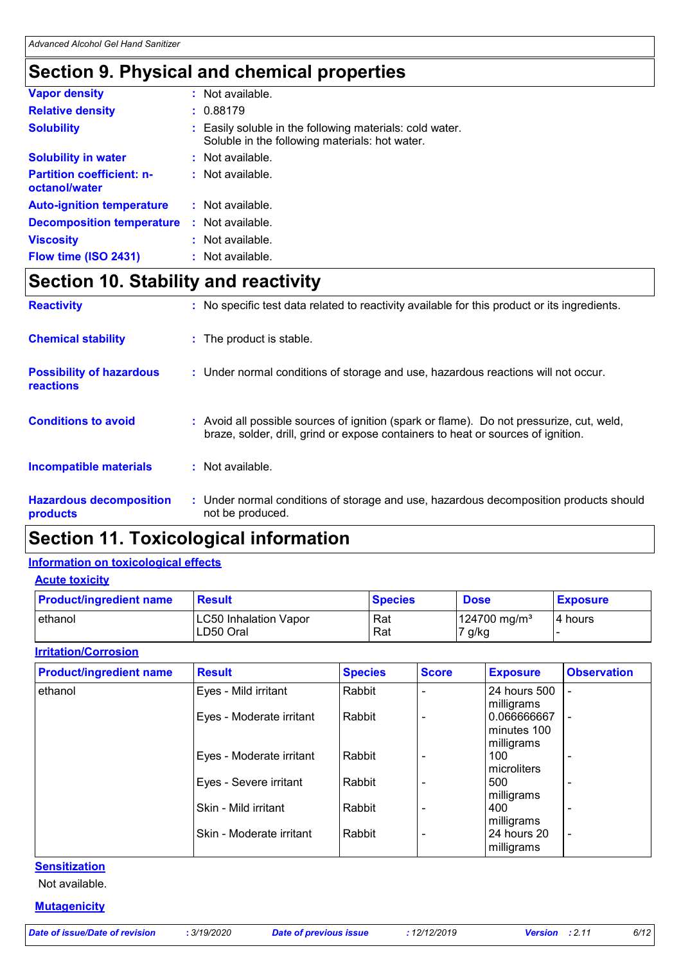### **Section 9. Physical and chemical properties**

| <b>Vapor density</b>                              | : Not available.                                                                                           |
|---------------------------------------------------|------------------------------------------------------------------------------------------------------------|
| <b>Relative density</b>                           | : 0.88179                                                                                                  |
| <b>Solubility</b>                                 | : Easily soluble in the following materials: cold water.<br>Soluble in the following materials: hot water. |
| <b>Solubility in water</b>                        | : Not available.                                                                                           |
| <b>Partition coefficient: n-</b><br>octanol/water | : Not available.                                                                                           |
| <b>Auto-ignition temperature</b>                  | : Not available.                                                                                           |
| <b>Decomposition temperature</b>                  | : Not available.                                                                                           |
| <b>Viscosity</b>                                  | $:$ Not available.                                                                                         |
| Flow time (ISO 2431)                              | $:$ Not available.                                                                                         |

### **Section 10. Stability and reactivity**

| <b>Hazardous decomposition</b><br>products          | : Under normal conditions of storage and use, hazardous decomposition products should<br>not be produced.                                                                    |
|-----------------------------------------------------|------------------------------------------------------------------------------------------------------------------------------------------------------------------------------|
| <b>Incompatible materials</b>                       | $:$ Not available.                                                                                                                                                           |
| <b>Conditions to avoid</b>                          | : Avoid all possible sources of ignition (spark or flame). Do not pressurize, cut, weld,<br>braze, solder, drill, grind or expose containers to heat or sources of ignition. |
| <b>Possibility of hazardous</b><br><b>reactions</b> | : Under normal conditions of storage and use, hazardous reactions will not occur.                                                                                            |
| <b>Chemical stability</b>                           | : The product is stable.                                                                                                                                                     |
| <b>Reactivity</b>                                   | : No specific test data related to reactivity available for this product or its ingredients.                                                                                 |

### **Section 11. Toxicological information**

#### **Information on toxicological effects**

**Acute toxicity**

| <b>Product/ingredient name</b> | <b>Result</b>                             | <b>Species</b> | <b>Dose</b>                        | <b>Exposure</b> |
|--------------------------------|-------------------------------------------|----------------|------------------------------------|-----------------|
| ethanol                        | <b>LC50 Inhalation Vapor</b><br>LD50 Oral | Rat<br>Rat     | 124700 mg/m <sup>3</sup><br>7 g/kg | 4 hours         |

#### **Irritation/Corrosion**

| <b>Product/ingredient name</b> | <b>Result</b>            | <b>Species</b> | <b>Score</b> | <b>Exposure</b>                            | <b>Observation</b>       |
|--------------------------------|--------------------------|----------------|--------------|--------------------------------------------|--------------------------|
| ethanol                        | Eyes - Mild irritant     | Rabbit         |              | 24 hours 500<br>milligrams                 |                          |
|                                | Eyes - Moderate irritant | Rabbit         |              | 0.066666667<br>l minutes 100<br>milligrams |                          |
|                                | Eyes - Moderate irritant | Rabbit         |              | 100<br>microliters                         |                          |
|                                | Eyes - Severe irritant   | Rabbit         |              | 500<br>milligrams                          |                          |
|                                | Skin - Mild irritant     | Rabbit         |              | 400<br>milligrams                          | $\overline{\phantom{0}}$ |
|                                | Skin - Moderate irritant | Rabbit         |              | 24 hours 20<br>milligrams                  | $\overline{\phantom{a}}$ |

#### **Sensitization**

Not available.

#### **Mutagenicity**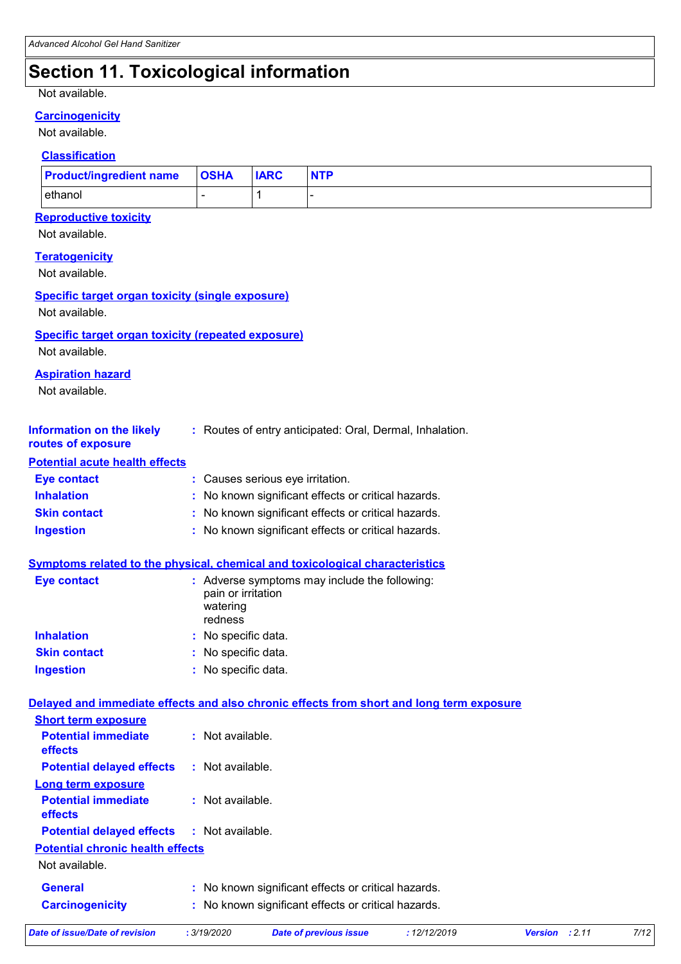### **Section 11. Toxicological information**

#### Not available.

### **Carcinogenicity**

Not available.

#### **Classification**

| <b>Product/ingredient name OSHA</b> | <b>IARC</b> | <b>NTP</b> |
|-------------------------------------|-------------|------------|
| ethanol                             |             |            |

### **Reproductive toxicity**

Not available.

**Teratogenicity**

Not available.

#### **Specific target organ toxicity (single exposure)**

Not available.

#### **Specific target organ toxicity (repeated exposure)**

Not available.

#### **Aspiration hazard**

Not available.

| <b>Information on the likely</b> | Routes of entry anticipated: Oral, Dermal, Inhalation. |
|----------------------------------|--------------------------------------------------------|
|                                  |                                                        |

#### **routes of exposure Potential acute health effects**

| <b>Potential acute health effects</b> |                                                     |
|---------------------------------------|-----------------------------------------------------|
| Eye contact                           | : Causes serious eye irritation.                    |
| <b>Inhalation</b>                     | : No known significant effects or critical hazards. |
| <b>Skin contact</b>                   | : No known significant effects or critical hazards. |
| <b>Ingestion</b>                      | : No known significant effects or critical hazards. |

| Eye contact         | : Adverse symptoms may include the following:<br>pain or irritation<br>watering<br>redness |
|---------------------|--------------------------------------------------------------------------------------------|
| <b>Inhalation</b>   | : No specific data.                                                                        |
| <b>Skin contact</b> | : No specific data.                                                                        |
| <b>Ingestion</b>    | : No specific data.                                                                        |

#### **Delayed and immediate effects and also chronic effects from short and long term exposure Short term exposure**

| <b>Potential immediate</b><br>effects             | $:$ Not available.                                                                                         |
|---------------------------------------------------|------------------------------------------------------------------------------------------------------------|
| <b>Potential delayed effects</b>                  | : Not available.                                                                                           |
| Long term exposure                                |                                                                                                            |
| <b>Potential immediate</b><br>effects             | $:$ Not available.                                                                                         |
| <b>Potential delayed effects : Not available.</b> |                                                                                                            |
| <b>Potential chronic health effects</b>           |                                                                                                            |
| Not available.                                    |                                                                                                            |
| General<br><b>Carcinogenicity</b>                 | : No known significant effects or critical hazards.<br>: No known significant effects or critical hazards. |
|                                                   |                                                                                                            |

| Date of issue/Date of revision | . 3/19/2020 | Date of previous issue | 12/12/2019 | <b>Version</b> : 2.11 |  |
|--------------------------------|-------------|------------------------|------------|-----------------------|--|
|                                |             |                        |            |                       |  |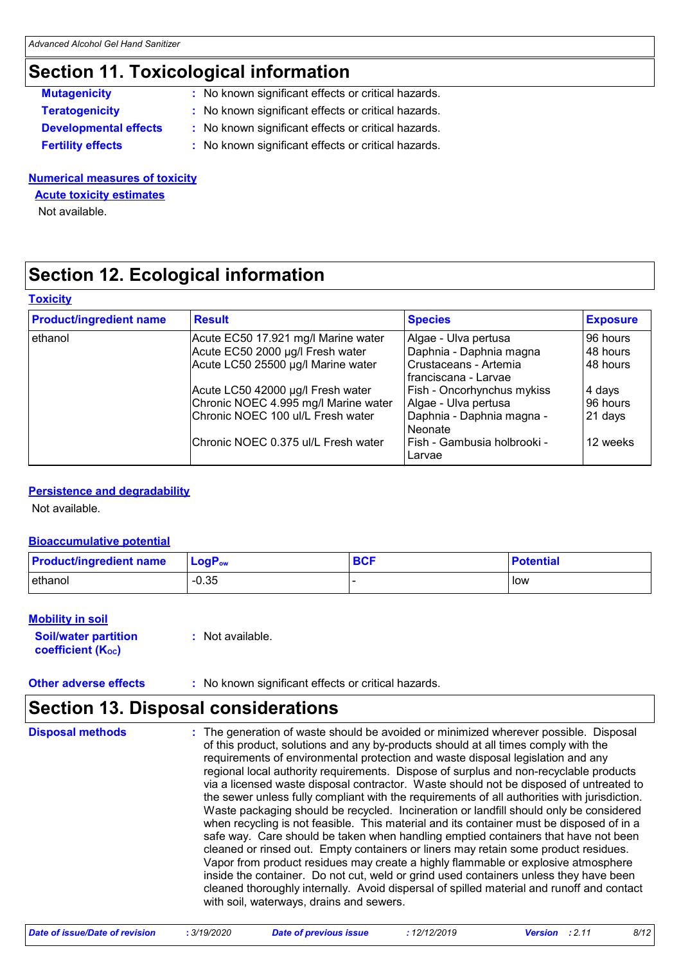### **Section 11. Toxicological information**

| <b>Mutagenicity</b>          | : No known significant effects or critical hazards. |
|------------------------------|-----------------------------------------------------|
| <b>Teratogenicity</b>        | : No known significant effects or critical hazards. |
| <b>Developmental effects</b> | : No known significant effects or critical hazards. |
| <b>Fertility effects</b>     | : No known significant effects or critical hazards. |

#### **Numerical measures of toxicity**

**Acute toxicity estimates**

Not available.

### **Section 12. Ecological information**

#### **Toxicity**

| <b>Product/ingredient name</b> | <b>Result</b>                                                                                                  | <b>Species</b>                                                                                     | <b>Exposure</b>                  |
|--------------------------------|----------------------------------------------------------------------------------------------------------------|----------------------------------------------------------------------------------------------------|----------------------------------|
| ethanol                        | Acute EC50 17.921 mg/l Marine water<br>Acute EC50 2000 µg/l Fresh water<br>Acute LC50 25500 µg/l Marine water  | Algae - Ulva pertusa<br>Daphnia - Daphnia magna<br>Crustaceans - Artemia<br>I franciscana - Larvae | 96 hours<br>48 hours<br>48 hours |
|                                | Acute LC50 42000 µg/l Fresh water<br>Chronic NOEC 4.995 mg/l Marine water<br>Chronic NOEC 100 ul/L Fresh water | Fish - Oncorhynchus mykiss<br>Algae - Ulva pertusa<br>Daphnia - Daphnia magna -<br>Neonate         | 4 days<br>96 hours<br>21 days    |
|                                | Chronic NOEC 0.375 ul/L Fresh water                                                                            | Fish - Gambusia holbrooki -<br>Larvae                                                              | 12 weeks                         |

#### **Persistence and degradability**

Not available.

#### **Bioaccumulative potential**

| <b>Product/ingredient name</b> | $\mathsf{LogP}_\mathsf{ow}$ | <b>BCF</b> | <b>Potential</b> |
|--------------------------------|-----------------------------|------------|------------------|
| ethanol                        | $-0.35$                     |            | l low            |

#### **Mobility in soil**

**Soil/water partition coefficient (KOC)**

**:** Not available.

### **Section 13. Disposal considerations**

**Disposal methods :**

The generation of waste should be avoided or minimized wherever possible. Disposal of this product, solutions and any by-products should at all times comply with the requirements of environmental protection and waste disposal legislation and any regional local authority requirements. Dispose of surplus and non-recyclable products via a licensed waste disposal contractor. Waste should not be disposed of untreated to the sewer unless fully compliant with the requirements of all authorities with jurisdiction. Waste packaging should be recycled. Incineration or landfill should only be considered when recycling is not feasible. This material and its container must be disposed of in a safe way. Care should be taken when handling emptied containers that have not been cleaned or rinsed out. Empty containers or liners may retain some product residues. Vapor from product residues may create a highly flammable or explosive atmosphere inside the container. Do not cut, weld or grind used containers unless they have been cleaned thoroughly internally. Avoid dispersal of spilled material and runoff and contact with soil, waterways, drains and sewers.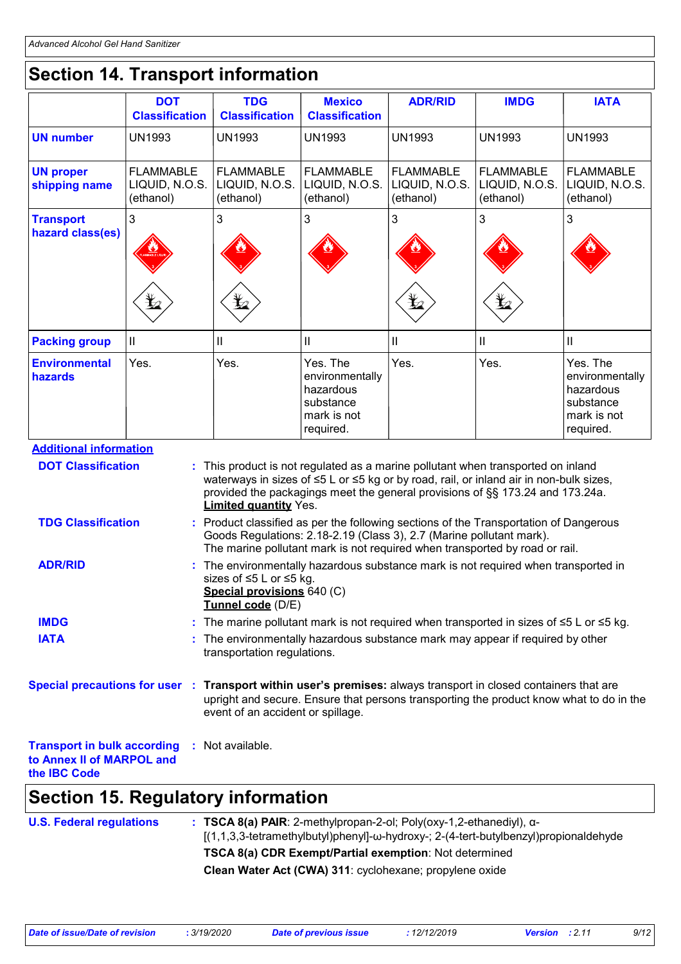## **Section 14. Transport information**

|                                      | <b>DOT</b><br><b>Classification</b>             | <b>TDG</b><br><b>Classification</b>             | <b>Mexico</b><br><b>Classification</b>                                            | <b>ADR/RID</b>                                  | <b>IMDG</b>                                     | <b>IATA</b>                                                                       |
|--------------------------------------|-------------------------------------------------|-------------------------------------------------|-----------------------------------------------------------------------------------|-------------------------------------------------|-------------------------------------------------|-----------------------------------------------------------------------------------|
| <b>UN number</b>                     | <b>UN1993</b>                                   | <b>UN1993</b>                                   | <b>UN1993</b>                                                                     | <b>UN1993</b>                                   | <b>UN1993</b>                                   | <b>UN1993</b>                                                                     |
| <b>UN proper</b><br>shipping name    | <b>FLAMMABLE</b><br>LIQUID, N.O.S.<br>(ethanol) | <b>FLAMMABLE</b><br>LIQUID, N.O.S.<br>(ethanol) | <b>FLAMMABLE</b><br>LIQUID, N.O.S.<br>(ethanol)                                   | <b>FLAMMABLE</b><br>LIQUID, N.O.S.<br>(ethanol) | <b>FLAMMABLE</b><br>LIQUID, N.O.S.<br>(ethanol) | <b>FLAMMABLE</b><br>LIQUID, N.O.S.<br>(ethanol)                                   |
| <b>Transport</b><br>hazard class(es) | $\overline{3}$<br>q                             | 3<br>q                                          | 3                                                                                 | 3<br>q                                          | 3<br>q                                          | 3                                                                                 |
| <b>Packing group</b>                 | IL                                              | Ш                                               | $\mathbf{I}$                                                                      | $\mathbf{I}$                                    | $\mathbf{I}$                                    | $\mathbf{I}$                                                                      |
| <b>Environmental</b><br>hazards      | Yes.                                            | Yes.                                            | Yes. The<br>environmentally<br>hazardous<br>substance<br>mark is not<br>required. | Yes.                                            | Yes.                                            | Yes. The<br>environmentally<br>hazardous<br>substance<br>mark is not<br>required. |

#### **Additional information**

| <b>DOT Classification</b>                                                              | : This product is not regulated as a marine pollutant when transported on inland<br>waterways in sizes of $\leq 5$ L or $\leq 5$ kg or by road, rail, or inland air in non-bulk sizes,<br>provided the packagings meet the general provisions of §§ 173.24 and 173.24a.<br><b>Limited quantity Yes.</b> |
|----------------------------------------------------------------------------------------|---------------------------------------------------------------------------------------------------------------------------------------------------------------------------------------------------------------------------------------------------------------------------------------------------------|
| <b>TDG Classification</b>                                                              | : Product classified as per the following sections of the Transportation of Dangerous<br>Goods Regulations: 2.18-2.19 (Class 3), 2.7 (Marine pollutant mark).<br>The marine pollutant mark is not required when transported by road or rail.                                                            |
| <b>ADR/RID</b>                                                                         | : The environmentally hazardous substance mark is not required when transported in<br>sizes of $\leq 5$ L or $\leq 5$ kg.<br>Special provisions 640 (C)<br>Tunnel code (D/E)                                                                                                                            |
| <b>IMDG</b>                                                                            | : The marine pollutant mark is not required when transported in sizes of $\leq 5$ L or $\leq 5$ kg.                                                                                                                                                                                                     |
| <b>IATA</b>                                                                            | : The environmentally hazardous substance mark may appear if required by other<br>transportation regulations.                                                                                                                                                                                           |
|                                                                                        | Special precautions for user : Transport within user's premises: always transport in closed containers that are<br>upright and secure. Ensure that persons transporting the product know what to do in the<br>event of an accident or spillage.                                                         |
| <b>Transport in bulk according</b><br>to Annex II of MARPOL and<br>the <b>IBC</b> Code | : Not available.                                                                                                                                                                                                                                                                                        |

### **Section 15. Regulatory information**

| <b>U.S. Federal regulations</b> | $\pm$ TSCA 8(a) PAIR: 2-methylpropan-2-ol; Poly(oxy-1,2-ethanediyl), $\alpha$ -<br>$[(1,1,3,3-tetramethylbutyl)phenyl]-\omega-hydroxy-; 2-(4-tert-butylbenzy)propionaldehyde$<br><b>TSCA 8(a) CDR Exempt/Partial exemption: Not determined</b> |
|---------------------------------|------------------------------------------------------------------------------------------------------------------------------------------------------------------------------------------------------------------------------------------------|
|                                 | Clean Water Act (CWA) 311: cyclohexane; propylene oxide                                                                                                                                                                                        |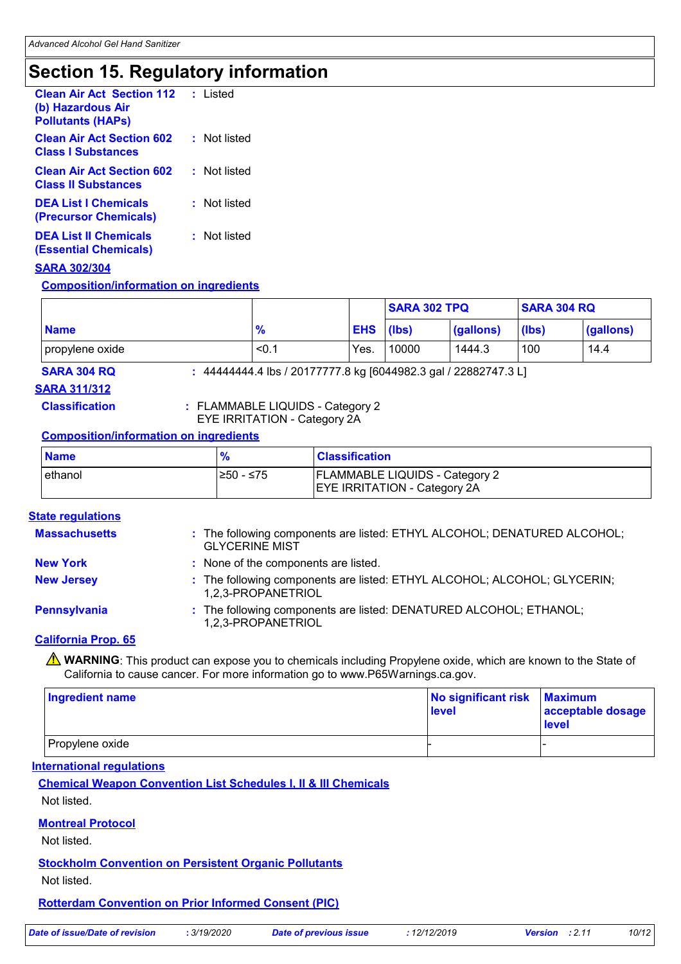### **Section 15. Regulatory information**

| <b>Clean Air Act Section 112</b> : Listed<br>(b) Hazardous Air<br><b>Pollutants (HAPs)</b> |              |
|--------------------------------------------------------------------------------------------|--------------|
| <b>Clean Air Act Section 602</b><br><b>Class I Substances</b>                              | : Not listed |
| <b>Clean Air Act Section 602</b><br><b>Class II Substances</b>                             | : Not listed |
| <b>DEA List I Chemicals</b><br>(Precursor Chemicals)                                       | : Not listed |
| <b>DEA List II Chemicals</b><br><b>(Essential Chemicals)</b>                               | : Not listed |

#### **SARA 302/304**

**Composition/information on ingredients**

|                 |               |            | SARA 302 TPQ |           | <b>SARA 304 RQ</b> |           |
|-----------------|---------------|------------|--------------|-----------|--------------------|-----------|
| <b>Name</b>     | $\frac{9}{6}$ | <b>EHS</b> | (lbs)        | (gallons) | (lbs)              | (gallons) |
| propylene oxide | < 0.1         | Yes.       | 10000        | 1444.3    | 100                | 14.4      |

**SARA 304 RQ :** 44444444.4 lbs / 20177777.8 kg [6044982.3 gal / 22882747.3 L]

#### **SARA 311/312**

**Classification :** FLAMMABLE LIQUIDS - Category 2 EYE IRRITATION - Category 2A

#### **Composition/information on ingredients**

| <b>Name</b> |            | <b>Classification</b>                                                        |
|-------------|------------|------------------------------------------------------------------------------|
| lethanol    | I≥50 - ≤75 | <b>FLAMMABLE LIQUIDS - Category 2</b><br><b>EYE IRRITATION - Category 2A</b> |

#### **State regulations**

| <b>Massachusetts</b> | : The following components are listed: ETHYL ALCOHOL; DENATURED ALCOHOL;<br><b>GLYCERINE MIST</b> |
|----------------------|---------------------------------------------------------------------------------------------------|
| <b>New York</b>      | : None of the components are listed.                                                              |
| <b>New Jersey</b>    | : The following components are listed: ETHYL ALCOHOL; ALCOHOL; GLYCERIN;<br>1,2,3-PROPANETRIOL    |
| <b>Pennsylvania</b>  | : The following components are listed: DENATURED ALCOHOL; ETHANOL;<br>1,2,3-PROPANETRIOL          |

#### **California Prop. 65**

WARNING: This product can expose you to chemicals including Propylene oxide, which are known to the State of California to cause cancer. For more information go to www.P65Warnings.ca.gov.

| <b>Ingredient name</b> | No significant risk<br>level | <b>Maximum</b><br>acceptable dosage<br><b>level</b> |
|------------------------|------------------------------|-----------------------------------------------------|
| Propylene oxide        |                              |                                                     |

#### **International regulations**

**Chemical Weapon Convention List Schedules I, II & III Chemicals**

Not listed.

#### **Montreal Protocol**

Not listed.

#### **Stockholm Convention on Persistent Organic Pollutants**

Not listed.

**Rotterdam Convention on Prior Informed Consent (PIC)**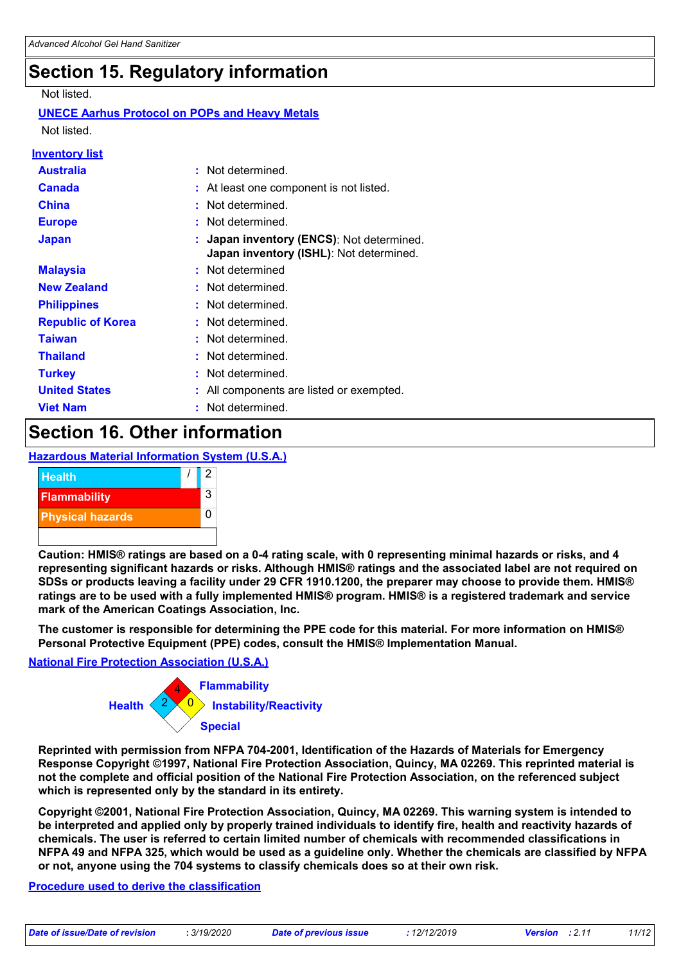### **Section 15. Regulatory information**

Not listed.

#### **UNECE Aarhus Protocol on POPs and Heavy Metals**

Not listed.

| <u>Inventory list</u>    |                                                                                      |
|--------------------------|--------------------------------------------------------------------------------------|
| <b>Australia</b>         | : Not determined.                                                                    |
| <b>Canada</b>            | : At least one component is not listed.                                              |
| <b>China</b>             | : Not determined.                                                                    |
| <b>Europe</b>            | : Not determined.                                                                    |
| <b>Japan</b>             | : Japan inventory (ENCS): Not determined.<br>Japan inventory (ISHL): Not determined. |
| <b>Malaysia</b>          | : Not determined                                                                     |
| <b>New Zealand</b>       | : Not determined.                                                                    |
| <b>Philippines</b>       | : Not determined.                                                                    |
| <b>Republic of Korea</b> | : Not determined.                                                                    |
| <b>Taiwan</b>            | : Not determined.                                                                    |
| <b>Thailand</b>          | : Not determined.                                                                    |
| <b>Turkey</b>            | : Not determined.                                                                    |
| <b>United States</b>     | : All components are listed or exempted.                                             |
| <b>Viet Nam</b>          | : Not determined.                                                                    |

### **Section 16. Other information**

#### **Hazardous Material Information System (U.S.A.)**



**Caution: HMIS® ratings are based on a 0-4 rating scale, with 0 representing minimal hazards or risks, and 4 representing significant hazards or risks. Although HMIS® ratings and the associated label are not required on SDSs or products leaving a facility under 29 CFR 1910.1200, the preparer may choose to provide them. HMIS® ratings are to be used with a fully implemented HMIS® program. HMIS® is a registered trademark and service mark of the American Coatings Association, Inc.**

**The customer is responsible for determining the PPE code for this material. For more information on HMIS® Personal Protective Equipment (PPE) codes, consult the HMIS® Implementation Manual.**

#### **National Fire Protection Association (U.S.A.)**



**Reprinted with permission from NFPA 704-2001, Identification of the Hazards of Materials for Emergency Response Copyright ©1997, National Fire Protection Association, Quincy, MA 02269. This reprinted material is not the complete and official position of the National Fire Protection Association, on the referenced subject which is represented only by the standard in its entirety.**

**Copyright ©2001, National Fire Protection Association, Quincy, MA 02269. This warning system is intended to be interpreted and applied only by properly trained individuals to identify fire, health and reactivity hazards of chemicals. The user is referred to certain limited number of chemicals with recommended classifications in NFPA 49 and NFPA 325, which would be used as a guideline only. Whether the chemicals are classified by NFPA or not, anyone using the 704 systems to classify chemicals does so at their own risk.**

#### **Procedure used to derive the classification**